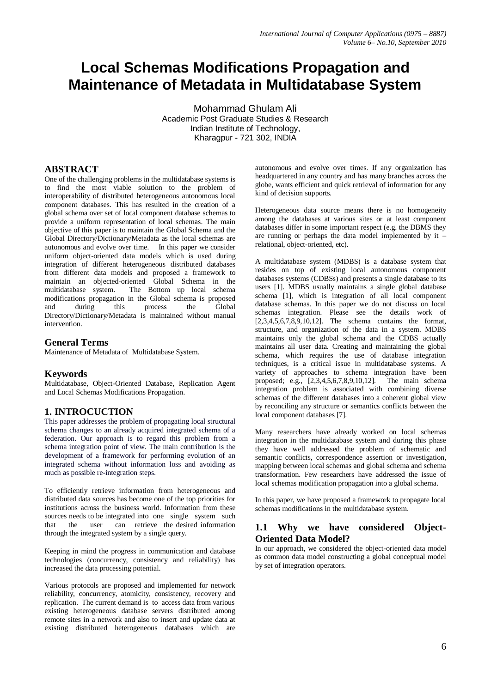# **Local Schemas Modifications Propagation and Maintenance of Metadata in Multidatabase System**

Mohammad Ghulam Ali Academic Post Graduate Studies & Research Indian Institute of Technology, Kharagpur - 721 302, INDIA

# **ABSTRACT**

One of the challenging problems in the multidatabase systems is to find the most viable solution to the problem of interoperability of distributed heterogeneous autonomous local component databases. This has resulted in the creation of a global schema over set of local component database schemas to provide a uniform representation of local schemas. The main objective of this paper is to maintain the Global Schema and the Global Directory/Dictionary/Metadata as the local schemas are autonomous and evolve over time. In this paper we consider uniform object-oriented data models which is used during integration of different heterogeneous distributed databases from different data models and proposed a framework to maintain an objected-oriented Global Schema in the multidatabase system. The Bottom up local schema modifications propagation in the Global schema is proposed and during this process the Global Directory/Dictionary/Metadata is maintained without manual intervention.

#### **General Terms**

Maintenance of Metadata of Multidatabase System.

#### **Keywords**

Multidatabase, Object-Oriented Database, Replication Agent and Local Schemas Modifications Propagation.

#### **1. INTROCUCTION**

This paper addresses the problem of propagating local structural schema changes to an already acquired integrated schema of a federation. Our approach is to regard this problem from a schema integration point of view. The main contribution is the development of a framework for performing evolution of an integrated schema without information loss and avoiding as much as possible re-integration steps.

To efficiently retrieve information from heterogeneous and distributed data sources has become one of the top priorities for institutions across the business world. Information from these sources needs to be integrated into one single system such that the user can retrieve the desired information through the integrated system by a single query.

Keeping in mind the progress in communication and database technologies (concurrency, consistency and reliability) has increased the data processing potential.

Various protocols are proposed and implemented for network reliability, concurrency, atomicity, consistency, recovery and replication. The current demand is to access data from various existing heterogeneous database servers distributed among remote sites in a network and also to insert and update data at existing distributed heterogeneous databases which are

autonomous and evolve over times. If any organization has headquartered in any country and has many branches across the globe, wants efficient and quick retrieval of information for any kind of decision supports.

Heterogeneous data source means there is no homogeneity among the databases at various sites or at least component databases differ in some important respect (e.g. the DBMS they are running or perhaps the data model implemented by it – relational, object-oriented, etc).

A multidatabase system (MDBS) is a database system that resides on top of existing local autonomous component databases systems (CDBSs) and presents a single database to its users [1]. MDBS usually maintains a single global database schema [1], which is integration of all local component database schemas. In this paper we do not discuss on local schemas integration. Please see the details work of [2,3,4,5,6,7,8,9,10,12]. The schema contains the format, structure, and organization of the data in a system. MDBS maintains only the global schema and the CDBS actually maintains all user data. Creating and maintaining the global schema, which requires the use of database integration techniques, is a critical issue in multidatabase systems. A variety of approaches to schema integration have been proposed; e.g., [2,3,4,5,6,7,8,9,10,12]. The main schema integration problem is associated with combining diverse schemas of the different databases into a coherent global view by reconciling any structure or semantics conflicts between the local component databases [7].

Many researchers have already worked on local schemas integration in the multidatabase system and during this phase they have well addressed the problem of schematic and semantic conflicts, correspondence assertion or investigation, mapping between local schemas and global schema and schema transformation. Few researchers have addressed the issue of local schemas modification propagation into a global schema.

In this paper, we have proposed a framework to propagate local schemas modifications in the multidatabase system.

## **1.1 Why we have considered Object-Oriented Data Model?**

In our approach, we considered the object-oriented data model as common data model constructing a global conceptual model by set of integration operators.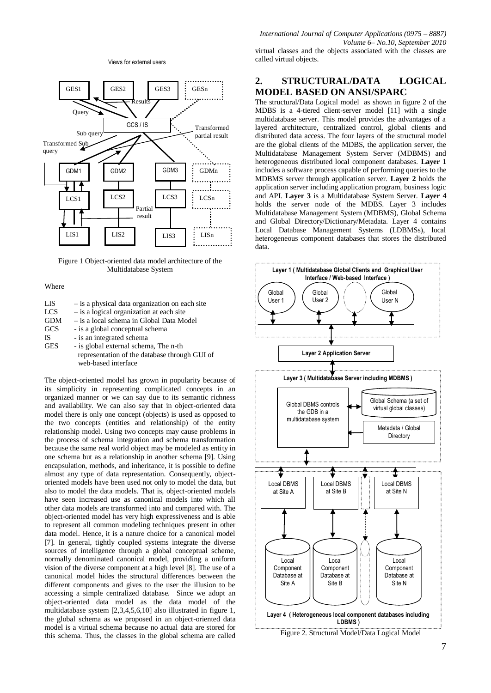Views for external users



Figure 1 Object-oriented data model architecture of the Multidatabase System

#### Where

| LIS | - is a physical data organization on each site |
|-----|------------------------------------------------|
| LCS | - is a logical organization at each site       |
| GDM | - is a local schema in Global Data Model       |
| GCS | - is a global conceptual schema                |
| IS  | - is an integrated schema                      |
| GES | - is global external schema, The n-th          |
|     | representation of the database through GUI of  |
|     | web-based interface                            |
|     |                                                |

The object-oriented model has grown in popularity because of its simplicity in representing complicated concepts in an organized manner or we can say due to its semantic richness and availability. We can also say that in object-oriented data model there is only one concept (objects) is used as opposed to the two concepts (entities and relationship) of the entity relationship model. Using two concepts may cause problems in the process of schema integration and schema transformation because the same real world object may be modeled as entity in one schema but as a relationship in another schema [9]. Using encapsulation, methods, and inheritance, it is possible to define almost any type of data representation. Consequently, objectoriented models have been used not only to model the data, but also to model the data models. That is, object-oriented models have seen increased use as canonical models into which all other data models are transformed into and compared with. The object-oriented model has very high expressiveness and is able to represent all common modeling techniques present in other data model. Hence, it is a nature choice for a canonical model [7]. In general, tightly coupled systems integrate the diverse sources of intelligence through a global conceptual scheme, normally denominated canonical model, providing a uniform vision of the diverse component at a high level [8]. The use of a canonical model hides the structural differences between the different components and gives to the user the illusion to be accessing a simple centralized database. Since we adopt an object-oriented data model as the data model of the multidatabase system [2,3,4,5,6,10] also illustrated in figure 1, the global schema as we proposed in an object-oriented data model is a virtual schema because no actual data are stored for this schema. Thus, the classes in the global schema are called

*International Journal of Computer Applications (0975 – 8887) Volume 6– No.10, September 2010*

virtual classes and the objects associated with the classes are called virtual objects.

# **2. STRUCTURAL/DATA LOGICAL MODEL BASED ON ANSI/SPARC**

The structural/Data Logical model as shown in figure 2 of the MDBS is a 4-tiered client-server model [11] with a single multidatabase server. This model provides the advantages of a layered architecture, centralized control, global clients and distributed data access. The four layers of the structural model are the global clients of the MDBS, the application server, the Multidatabase Management System Server (MDBMS) and heterogeneous distributed local component databases. **Layer 1** includes a software process capable of performing queries to the MDBMS server through application server. **Layer 2** holds the application server including application program, business logic and API. **Layer 3** is a Multidatabase System Server. **Layer 4**  holds the server node of the MDBS. Layer 3 includes Multidatabase Management System (MDBMS), Global Schema and Global Directory/Dictionary/Metadata. Layer 4 contains Local Database Management Systems (LDBMSs), local heterogeneous component databases that stores the distributed data.

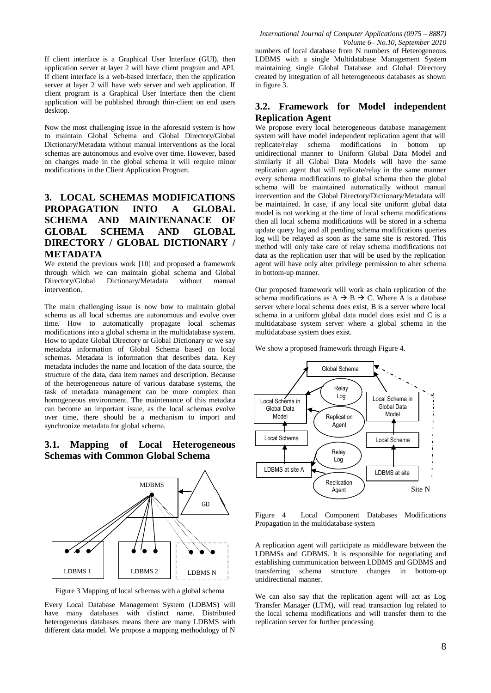If client interface is a Graphical User Interface (GUI), then application server at layer 2 will have client program and API. If client interface is a web-based interface, then the application server at layer 2 will have web server and web application. If client program is a Graphical User Interface then the client application will be published through thin-client on end users desktop.

Now the most challenging issue in the aforesaid system is how to maintain Global Schema and Global Directory/Global Dictionary/Metadata without manual interventions as the local schemas are autonomous and evolve over time. However, based on changes made in the global schema it will require minor modifications in the Client Application Program.

# **3. LOCAL SCHEMAS MODIFICATIONS PROPAGATION INTO A GLOBAL SCHEMA AND MAINTENANACE OF GLOBAL SCHEMA AND GLOBAL DIRECTORY / GLOBAL DICTIONARY / METADATA**

We extend the previous work [10] and proposed a framework through which we can maintain global schema and Global Directory/Global Dictionary/Metadata without manual intervention.

The main challenging issue is now how to maintain global schema as all local schemas are autonomous and evolve over time. How to automatically propagate local schemas modifications into a global schema in the multidatabase system. How to update Global Directory or Global Dictionary or we say metadata information of Global Schema based on local schemas. Metadata is information that describes data. Key metadata includes the name and location of the data source, the structure of the data, data item names and description. Because of the heterogeneous nature of various database systems, the task of metadata management can be more complex than homogeneous environment. The maintenance of this metadata can become an important issue, as the local schemas evolve over time, there should be a mechanism to import and synchronize metadata for global schema.

# **3.1. Mapping of Local Heterogeneous Schemas with Common Global Schema**



Figure 3 Mapping of local schemas with a global schema

Every Local Database Management System (LDBMS) will have many databases with distinct name. Distributed heterogeneous databases means there are many LDBMS with different data model. We propose a mapping methodology of N

*International Journal of Computer Applications (0975 – 8887) Volume 6– No.10, September 2010*

numbers of local database from N numbers of Heterogeneous LDBMS with a single Multidatabase Management System maintaining single Global Database and Global Directory created by integration of all heterogeneous databases as shown in figure 3.

# **3.2. Framework for Model independent Replication Agent**

We propose every local heterogeneous database management system will have model independent replication agent that will replicate/relay schema modifications in bottom up unidirectional manner to Uniform Global Data Model and similarly if all Global Data Models will have the same replication agent that will replicate/relay in the same manner every schema modifications to global schema then the global schema will be maintained automatically without manual intervention and the Global Directory/Dictionary/Metadata will be maintained. In case, if any local site uniform global data model is not working at the time of local schema modifications then all local schema modifications will be stored in a schema update query log and all pending schema modifications queries log will be relayed as soon as the same site is restored. This method will only take care of relay schema modifications not data as the replication user that will be used by the replication agent will have only alter privilege permission to alter schema in bottom-up manner.

Our proposed framework will work as chain replication of the schema modifications as  $A \rightarrow B \rightarrow C$ . Where A is a database server where local schema does exist, B is a server where local schema in a uniform global data model does exist and C is a multidatabase system server where a global schema in the multidatabase system does exist.

We show a proposed framework through Figure 4.



Figure 4 Local Component Databases Modifications Propagation in the multidatabase system

A replication agent will participate as middleware between the LDBMSs and GDBMS. It is responsible for negotiating and establishing communication between LDBMS and GDBMS and transferring schema structure changes in bottom-up unidirectional manner.

We can also say that the replication agent will act as Log Transfer Manager (LTM), will read transaction log related to the local schema modifications and will transfer them to the replication server for further processing.